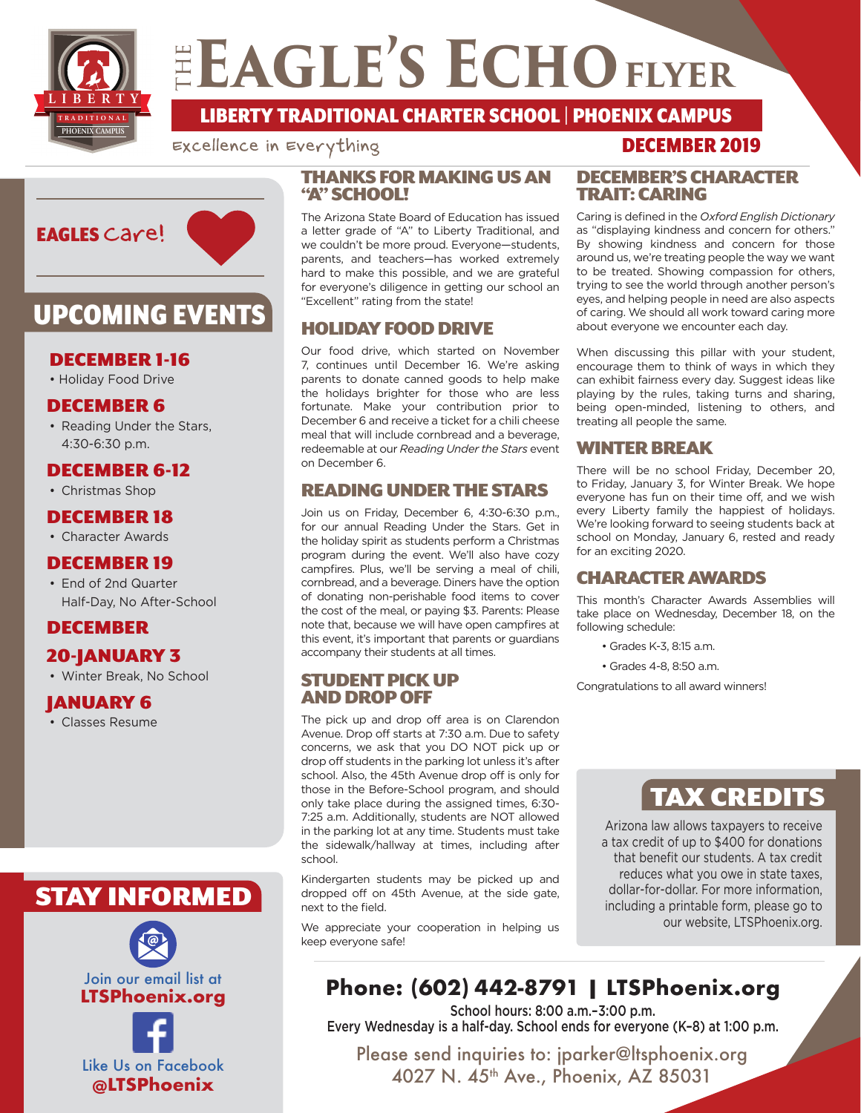

## ELAGLE'S ECHO FLYER

**TRADITIONAL LIBERTY** LIBERTY TRADITIONAL CHARTER SCHOOL | PHOENIX CAMPUS

Excellence in Everything



## UPCOMING EVENTS

### DECEMBER 1-16

• Holiday Food Drive

### DECEMBER 6

• Reading Under the Stars, 4:30-6:30 p.m.

### DECEMBER 6-12

• Christmas Shop

### DECEMBER 18

• Character Awards

### DECEMBER 19

• End of 2nd Quarter Half-Day, No After-School

### DECEMBER

### 20-JANUARY 3

• Winter Break, No School

### JANUARY 6

• Classes Resume

## STAY INFORMED



### THANKS FOR MAKING US AN "A" SCHOOL!

The Arizona State Board of Education has issued a letter grade of "A" to Liberty Traditional, and we couldn't be more proud. Everyone—students, parents, and teachers—has worked extremely hard to make this possible, and we are grateful for everyone's diligence in getting our school an "Excellent" rating from the state!

### HOLIDAY FOOD DRIVE

Our food drive, which started on November 7, continues until December 16. We're asking parents to donate canned goods to help make the holidays brighter for those who are less fortunate. Make your contribution prior to December 6 and receive a ticket for a chili cheese meal that will include cornbread and a beverage, redeemable at our *Reading Under the Stars* event on December 6.

### READING UNDER THE STARS

Join us on Friday, December 6, 4:30-6:30 p.m., for our annual Reading Under the Stars. Get in the holiday spirit as students perform a Christmas program during the event. We'll also have cozy campfires. Plus, we'll be serving a meal of chili, cornbread, and a beverage. Diners have the option of donating non-perishable food items to cover the cost of the meal, or paying \$3. Parents: Please note that, because we will have open campfires at this event, it's important that parents or guardians accompany their students at all times.

### STUDENT PICK UP AND DROP OFF

The pick up and drop off area is on Clarendon Avenue. Drop off starts at 7:30 a.m. Due to safety concerns, we ask that you DO NOT pick up or drop off students in the parking lot unless it's after school. Also, the 45th Avenue drop off is only for those in the Before-School program, and should only take place during the assigned times, 6:30- 7:25 a.m. Additionally, students are NOT allowed in the parking lot at any time. Students must take the sidewalk/hallway at times, including after school.

Kindergarten students may be picked up and dropped off on 45th Avenue, at the side gate, next to the field.

We appreciate your cooperation in helping us keep everyone safe!

#### DECEMBER'S CHARACTER TRAIT: CARING

Caring is defined in the *Oxford English Dictionary* as "displaying kindness and concern for others." By showing kindness and concern for those around us, we're treating people the way we want to be treated. Showing compassion for others, trying to see the world through another person's eyes, and helping people in need are also aspects of caring. We should all work toward caring more about everyone we encounter each day.

When discussing this pillar with your student, encourage them to think of ways in which they can exhibit fairness every day. Suggest ideas like playing by the rules, taking turns and sharing, being open-minded, listening to others, and treating all people the same.

### WINTER BREAK

There will be no school Friday, December 20, to Friday, January 3, for Winter Break. We hope everyone has fun on their time off, and we wish every Liberty family the happiest of holidays. We're looking forward to seeing students back at school on Monday, January 6, rested and ready for an exciting 2020.

### CHARACTER AWARDS

This month's Character Awards Assemblies will take place on Wednesday, December 18, on the following schedule:

- Grades K-3, 8:15 a.m.
- Grades 4-8, 8:50 a.m.

Congratulations to all award winners!

## TAX CREDITS

Arizona law allows taxpayers to receive a tax credit of up to \$400 for donations that benefit our students. A tax credit reduces what you owe in state taxes, dollar-for-dollar. For more information, including a printable form, please go to our website, LTSPhoenix.org.

## **Phone: (602) 442-8791 | LTSPhoenix.org**

School hours: 8:00 a.m.–3:00 p.m. Every Wednesday is a half-day. School ends for everyone (K–8) at 1:00 p.m.

Please send inquiries to: jparker@ltsphoenix.org 4027 N. 45<sup>th</sup> Ave., Phoenix, AZ 85031

### DECEMBER 2019